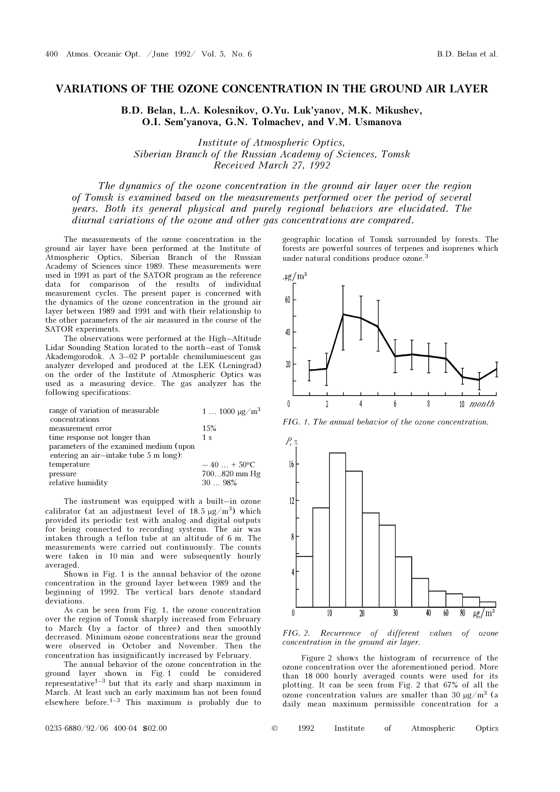## VARIATIONS OF THE OZONE CONCENTRATION IN THE GROUND AIR LAYER

B.D. Belan, L.A. Kolesnikov, O.Yu. Luk'yanov, M.K. Mikushev, O.I. Sem'yanova, G.N. Tolmachev, and V.M. Usmanova

Institute of Atmospheric Optics, Siberian Branch of the Russian Academy of Sciences, Tomsk Received March 27, 1992

The dynamics of the ozone concentration in the ground air layer over the region of Tomsk is examined based on the measurements performed over the period of several years. Both its general physical and purely regional behaviors are elucidated. The diurnal variations of the ozone and other gas concentrations are compared.

The measurements of the ozone concentration in the ground air layer have been performed at the Institute of Atmospheric Optics, Siberian Branch of the Russian Academy of Sciences since 1989. These measurements were used in 1991 as part of the SATOR program as the reference data for comparison of the results of individual measurement cycles. The present paper is concerned with the dynamics of the ozone concentration in the ground air layer between 1989 and 1991 and with their relationship to the other parameters of the air measured in the course of the SATOR experiments.

The observations were performed at the High–Altitude Lidar Sounding Station located to the north–east of Tomsk Akademgorodok. A 3–02 P portable chemiluminescent gas analyzer developed and produced at the LEK (Leningrad) on the order of the Institute of Atmospheric Optics was used as a measuring device. The gas analyzer has the following specifications:

| range of variation of measurable        | 1 $1000 \mu g/m^3$  |
|-----------------------------------------|---------------------|
| concentrations                          |                     |
| measurement error                       | 15%                 |
| time response not longer than           | 1 <sub>s</sub>      |
| parameters of the examined medium (upon |                     |
| entering an air-intake tube 5 m long):  |                     |
| temperature                             | $-40 + 50^{\circ}C$ |
| pressure                                | 700820 mm Hg        |
| relative humidity                       | 3098%               |

The instrument was equipped with a built–in ozone calibrator (at an adjustment level of  $18.5 \mu g/m^3$ ) which provided its periodic test with analog and digital outputs for being connected to recording systems. The air was intaken through a teflon tube at an altitude of 6 m. The measurements were carried out continuously. The counts were taken in 10 min and were subsequently hourly averaged.

Shown in Fig. 1 is the annual behavior of the ozone concentration in the ground layer between 1989 and the beginning of 1992. The vertical bars denote standard deviations.

As can be seen from Fig. 1, the ozone concentration over the region of Tomsk sharply increased from February to March (by a factor of three) and then smoothly decreased. Minimum ozone concentrations near the ground were observed in October and November. Then the concentration has insignificantly increased by February.

The annual behavior of the ozone concentration in the ground layer shown in Fig. 1 could be considered representative<sup> $1-3$ </sup> but that its early and sharp maximum in March. At least such an early maximum has not been found elsewhere before.<sup>1–3</sup> This maximum is probably due to

geographic location of Tomsk surrounded by forests. The forests are powerful sources of terpenes and isoprenes which under natural conditions produce ozone.<sup>3</sup>



FIG. 1. The annual behavior of the ozone concentration.



FIG. 2. Recurrence of different values of ozone concentration in the ground air layer.

Figure 2 shows the histogram of recurrence of the ozone concentration over the aforementioned period. More than 18 000 hourly averaged counts were used for its plotting. It can be seen from Fig. 2 that 67% of all the ozone concentration values are smaller than 30 μg/m3 (a daily mean maximum permissible concentration for a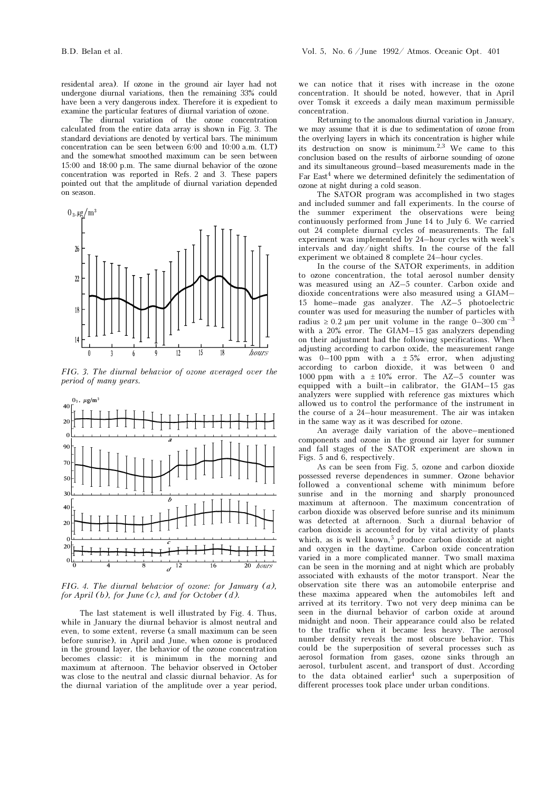residental area). If ozone in the ground air layer had not undergone diurnal variations, then the remaining 33% could have been a very dangerous index. Therefore it is expedient to examine the particular features of diurnal variation of ozone.

The diurnal variation of the ozone concentration calculated from the entire data array is shown in Fig. 3. The standard deviations are denoted by vertical bars. The minimum concentration can be seen between 6:00 and 10:00 a.m. (LT) and the somewhat smoothed maximum can be seen between 15:00 and 18:00 p.m. The same diurnal behavior of the ozone concentration was reported in Refs. 2 and 3. These papers pointed out that the amplitude of diurnal variation depended on season.



FIG. 3. The diurnal behavior of ozone averaged over the period of many years.



FIG. 4. The diurnal behavior of ozone: for January (a), for April  $(b)$ , for June  $(c)$ , and for October  $(d)$ .

The last statement is well illustrated by Fig. 4. Thus, while in January the diurnal behavior is almost neutral and even, to some extent, reverse (a small maximum can be seen before sunrise), in April and June, when ozone is produced in the ground layer, the behavior of the ozone concentration becomes classic: it is minimum in the morning and maximum at afternoon. The behavior observed in October was close to the neutral and classic diurnal behavior. As for the diurnal variation of the amplitude over a year period,

we can notice that it rises with increase in the ozone concentration. It should be noted, however, that in April over Tomsk it exceeds a daily mean maximum permissible concentration.

Returning to the anomalous diurnal variation in January, we may assume that it is due to sedimentation of ozone from the overlying layers in which its concentration is higher while its destruction on snow is minimum.<sup>2,3</sup> We came to this conclusion based on the results of airborne sounding of ozone and its simultaneous ground–based measurements made in the Far East<sup>4</sup> where we determined definitely the sedimentation of ozone at night during a cold season.

The SATOR program was accomplished in two stages and included summer and fall experiments. In the course of the summer experiment the observations were being continuously performed from June 14 to July 6. We carried out 24 complete diurnal cycles of measurements. The fall experiment was implemented by 24–hour cycles with week's intervals and day/night shifts. In the course of the fall experiment we obtained 8 complete 24–hour cycles.

In the course of the SATOR experiments, in addition to ozone concentration, the total aerosol number density was measured using an AZ–5 counter. Carbon oxide and dioxide concentrations were also measured using a GIAM– 15 home–made gas analyzer. The AZ–5 photoelectric counter was used for measuring the number of particles with radius  $\geq 0.2$  μm per unit volume in the range 0–300 cm<sup>-3</sup> with a 20% error. The GIAM–15 gas analyzers depending on their adjustment had the following specifications. When adjusting according to carbon oxide, the measurement range was 0–100 ppm with a  $\pm 5\%$  error, when adjusting according to carbon dioxide, it was between 0 and 1000 ppm with a  $\pm$  10% error. The AZ-5 counter was equipped with a built–in calibrator, the GIAM–15 gas analyzers were supplied with reference gas mixtures which allowed us to control the performance of the instrument in the course of a 24–hour measurement. The air was intaken in the same way as it was described for ozone.

An average daily variation of the above–mentioned components and ozone in the ground air layer for summer and fall stages of the SATOR experiment are shown in Figs. 5 and 6, respectively.

As can be seen from Fig. 5, ozone and carbon dioxide possessed reverse dependences in summer. Ozone behavior followed a conventional scheme with minimum before sunrise and in the morning and sharply pronounced maximum at afternoon. The maximum concentration of carbon dioxide was observed before sunrise and its minimum was detected at afternoon. Such a diurnal behavior of carbon dioxide is accounted for by vital activity of plants which, as is well known,<sup>5</sup> produce carbon dioxide at night and oxygen in the daytime. Carbon oxide concentration varied in a more complicated manner. Two small maxima can be seen in the morning and at night which are probably associated with exhausts of the motor transport. Near the observation site there was an automobile enterprise and these maxima appeared when the automobiles left and arrived at its territory. Two not very deep minima can be seen in the diurnal behavior of carbon oxide at around midnight and noon. Their appearance could also be related to the traffic when it became less heavy. The aerosol number density reveals the most obscure behavior. This could be the superposition of several processes such as aerosol formation from gases, ozone sinks through an aerosol, turbulent ascent, and transport of dust. According to the data obtained earlier<sup>4</sup> such a superposition of different processes took place under urban conditions.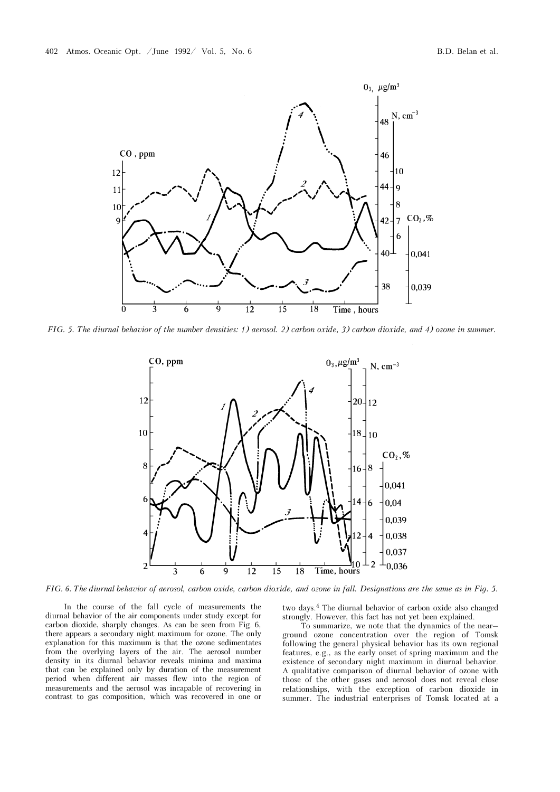

FIG. 5. The diurnal behavior of the number densities: 1) aerosol. 2) carbon oxide, 3) carbon dioxide, and 4) ozone in summer.



FIG. 6. The diurnal behavior of aerosol, carbon oxide, carbon dioxide, and ozone in fall. Designations are the same as in Fig. 5.

In the course of the fall cycle of measurements the diurnal behavior of the air components under study except for carbon dioxide, sharply changes. As can be seen from Fig. 6, there appears a secondary night maximum for ozone. The only explanation for this maximum is that the ozone sedimentates from the overlying layers of the air. The aerosol number density in its diurnal behavior reveals minima and maxima that can be explained only by duration of the measurement period when different air masses flew into the region of measurements and the aerosol was incapable of recovering in contrast to gas composition, which was recovered in one or two days.4 The diurnal behavior of carbon oxide also changed strongly. However, this fact has not yet been explained.

To summarize, we note that the dynamics of the near– ground ozone concentration over the region of Tomsk following the general physical behavior has its own regional features, e.g., as the early onset of spring maximum and the existence of secondary night maximum in diurnal behavior. A qualitative comparison of diurnal behavior of ozone with those of the other gases and aerosol does not reveal close relationships, with the exception of carbon dioxide in summer. The industrial enterprises of Tomsk located at a